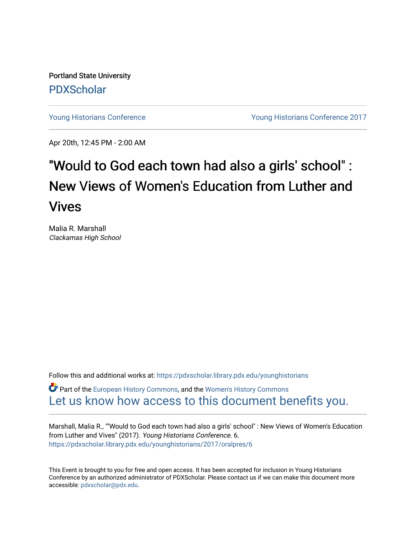Portland State University [PDXScholar](https://pdxscholar.library.pdx.edu/)

[Young Historians Conference](https://pdxscholar.library.pdx.edu/younghistorians) [Young Historians Conference 2017](https://pdxscholar.library.pdx.edu/younghistorians/2017) 

Apr 20th, 12:45 PM - 2:00 AM

## "Would to God each town had also a girls' school" : New Views of Women's Education from Luther and Vives

Malia R. Marshall Clackamas High School

Follow this and additional works at: [https://pdxscholar.library.pdx.edu/younghistorians](https://pdxscholar.library.pdx.edu/younghistorians?utm_source=pdxscholar.library.pdx.edu%2Fyounghistorians%2F2017%2Foralpres%2F6&utm_medium=PDF&utm_campaign=PDFCoverPages)

Part of the [European History Commons](http://network.bepress.com/hgg/discipline/492?utm_source=pdxscholar.library.pdx.edu%2Fyounghistorians%2F2017%2Foralpres%2F6&utm_medium=PDF&utm_campaign=PDFCoverPages), and the [Women's History Commons](http://network.bepress.com/hgg/discipline/507?utm_source=pdxscholar.library.pdx.edu%2Fyounghistorians%2F2017%2Foralpres%2F6&utm_medium=PDF&utm_campaign=PDFCoverPages)  [Let us know how access to this document benefits you.](http://library.pdx.edu/services/pdxscholar-services/pdxscholar-feedback/) 

Marshall, Malia R., ""Would to God each town had also a girls' school" : New Views of Women's Education from Luther and Vives" (2017). Young Historians Conference. 6. [https://pdxscholar.library.pdx.edu/younghistorians/2017/oralpres/6](https://pdxscholar.library.pdx.edu/younghistorians/2017/oralpres/6?utm_source=pdxscholar.library.pdx.edu%2Fyounghistorians%2F2017%2Foralpres%2F6&utm_medium=PDF&utm_campaign=PDFCoverPages) 

This Event is brought to you for free and open access. It has been accepted for inclusion in Young Historians Conference by an authorized administrator of PDXScholar. Please contact us if we can make this document more accessible: [pdxscholar@pdx.edu.](mailto:pdxscholar@pdx.edu)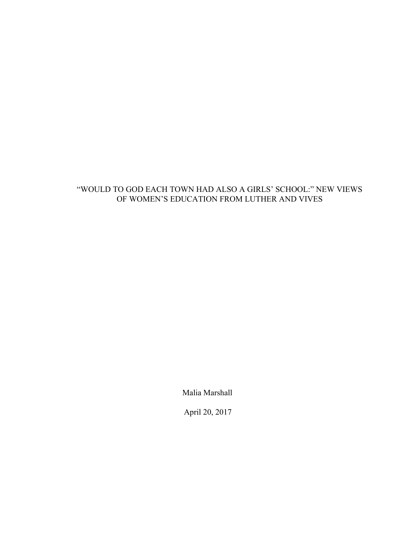## "WOULD TO GOD EACH TOWN HAD ALSO A GIRLS' SCHOOL:" NEW VIEWS OF WOMEN'S EDUCATION FROM LUTHER AND VIVES

Malia Marshall

April 20, 2017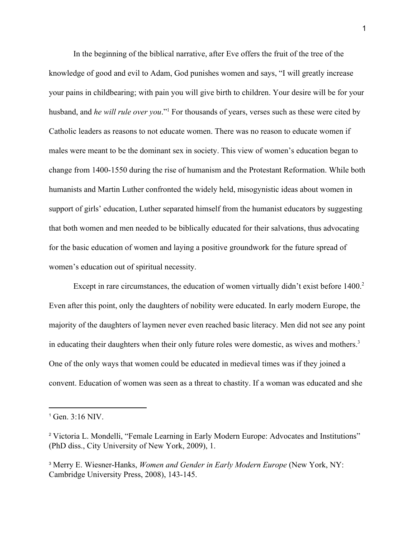In the beginning of the biblical narrative, after Eve offers the fruit of the tree of the knowledge of good and evil to Adam, God punishes women and says, "I will greatly increase your pains in childbearing; with pain you will give birth to children. Your desire will be for your husband, and *he will rule over you*."<sup>1</sup> For thousands of years, verses such as these were cited by Catholic leaders as reasons to not educate women. There was no reason to educate women if males were meant to be the dominant sex in society. This view of women's education began to change from 1400-1550 during the rise of humanism and the Protestant Reformation. While both humanists and Martin Luther confronted the widely held, misogynistic ideas about women in support of girls' education, Luther separated himself from the humanist educators by suggesting that both women and men needed to be biblically educated for their salvations, thus advocating for the basic education of women and laying a positive groundwork for the future spread of women's education out of spiritual necessity.

Except in rare circumstances, the education of women virtually didn't exist before  $1400<sup>2</sup>$ . Even after this point, only the daughters of nobility were educated. In early modern Europe, the majority of the daughters of laymen never even reached basic literacy. Men did not see any point in educating their daughters when their only future roles were domestic, as wives and mothers.<sup>3</sup> One of the only ways that women could be educated in medieval times was if they joined a convent. Education of women was seen as a threat to chastity. If a woman was educated and she

 $1$  Gen. 3:16 NIV.

<sup>2</sup> Victoria L. Mondelli, "Female Learning in Early Modern Europe: Advocates and Institutions" (PhD diss., City University of New York, 2009), 1.

<sup>3</sup> Merry E. Wiesner-Hanks, *Women and Gender in Early Modern Europe* (New York, NY: Cambridge University Press, 2008), 143-145.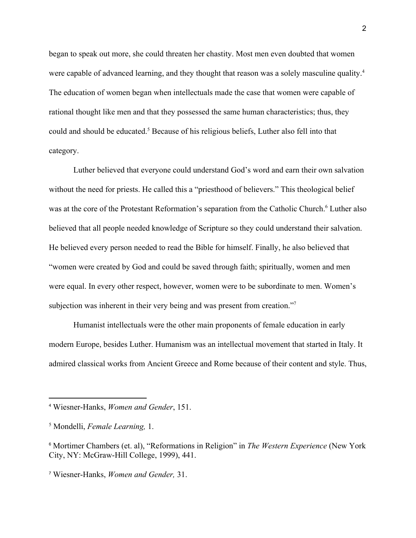began to speak out more, she could threaten her chastity. Most men even doubted that women were capable of advanced learning, and they thought that reason was a solely masculine quality.<sup>4</sup> The education of women began when intellectuals made the case that women were capable of rational thought like men and that they possessed the same human characteristics; thus, they could and should be educated.<sup>5</sup> Because of his religious beliefs, Luther also fell into that category.

Luther believed that everyone could understand God's word and earn their own salvation without the need for priests. He called this a "priesthood of believers." This theological belief was at the core of the Protestant Reformation's separation from the Catholic Church.<sup>6</sup> Luther also believed that all people needed knowledge of Scripture so they could understand their salvation. He believed every person needed to read the Bible for himself. Finally, he also believed that "women were created by God and could be saved through faith; spiritually, women and men were equal. In every other respect, however, women were to be subordinate to men. Women's subjection was inherent in their very being and was present from creation."<sup>7</sup>

Humanist intellectuals were the other main proponents of female education in early modern Europe, besides Luther. Humanism was an intellectual movement that started in Italy. It admired classical works from Ancient Greece and Rome because of their content and style. Thus,

<sup>4</sup> Wiesner-Hanks, *Women and Gender*, 151.

<sup>5</sup> Mondelli, *Female Learning,* 1.

<sup>6</sup> Mortimer Chambers (et. al), "Reformations in Religion" in *The Western Experience* (New York City, NY: McGraw-Hill College, 1999), 441.

<sup>7</sup> Wiesner-Hanks, *Women and Gender,* 31.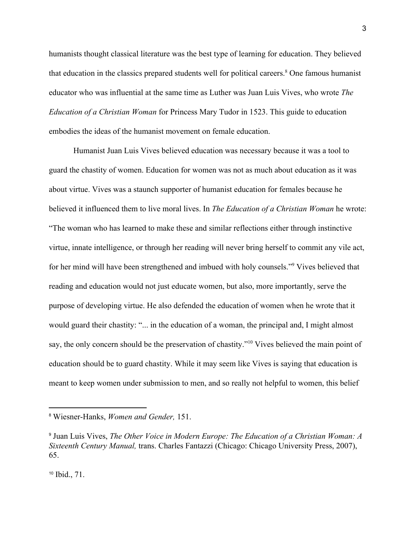humanists thought classical literature was the best type of learning for education. They believed that education in the classics prepared students well for political careers.<sup>8</sup> One famous humanist educator who was influential at the same time as Luther was Juan Luis Vives, who wrote *The Education of a Christian Woman* for Princess Mary Tudor in 1523. This guide to education embodies the ideas of the humanist movement on female education.

Humanist Juan Luis Vives believed education was necessary because it was a tool to guard the chastity of women. Education for women was not as much about education as it was about virtue. Vives was a staunch supporter of humanist education for females because he believed it influenced them to live moral lives. In *The Education of a Christian Woman* he wrote: "The woman who has learned to make these and similar reflections either through instinctive virtue, innate intelligence, or through her reading will never bring herself to commit any vile act, for her mind will have been strengthened and imbued with holy counsels."<sup>9</sup> Vives believed that reading and education would not just educate women, but also, more importantly, serve the purpose of developing virtue. He also defended the education of women when he wrote that it would guard their chastity: "... in the education of a woman, the principal and, I might almost say, the only concern should be the preservation of chastity."<sup>10</sup> Vives believed the main point of education should be to guard chastity. While it may seem like Vives is saying that education is meant to keep women under submission to men, and so really not helpful to women, this belief

<sup>8</sup> Wiesner-Hanks, *Women and Gender,* 151.

<sup>9</sup> Juan Luis Vives, *The Other Voice in Modern Europe: The Education of a Christian Woman: A Sixteenth Century Manual,* trans. Charles Fantazzi (Chicago: Chicago University Press, 2007), 65.

<sup>10</sup> Ibid., 71.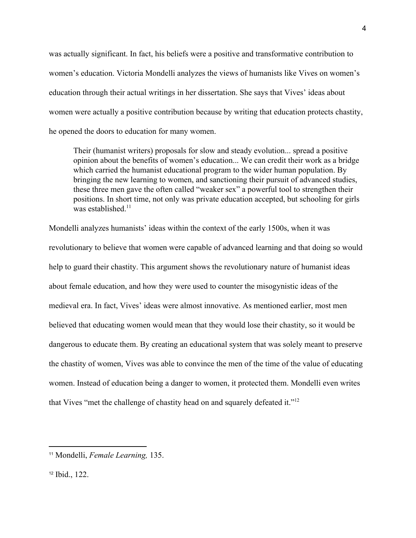was actually significant. In fact, his beliefs were a positive and transformative contribution to women's education. Victoria Mondelli analyzes the views of humanists like Vives on women's education through their actual writings in her dissertation. She says that Vives' ideas about women were actually a positive contribution because by writing that education protects chastity, he opened the doors to education for many women.

Their (humanist writers) proposals for slow and steady evolution... spread a positive opinion about the benefits of women's education... We can credit their work as a bridge which carried the humanist educational program to the wider human population. By bringing the new learning to women, and sanctioning their pursuit of advanced studies, these three men gave the often called "weaker sex" a powerful tool to strengthen their positions. In short time, not only was private education accepted, but schooling for girls was established<sup>11</sup>

Mondelli analyzes humanists' ideas within the context of the early 1500s, when it was revolutionary to believe that women were capable of advanced learning and that doing so would help to guard their chastity. This argument shows the revolutionary nature of humanist ideas about female education, and how they were used to counter the misogynistic ideas of the medieval era. In fact, Vives' ideas were almost innovative. As mentioned earlier, most men believed that educating women would mean that they would lose their chastity, so it would be dangerous to educate them. By creating an educational system that was solely meant to preserve the chastity of women, Vives was able to convince the men of the time of the value of educating women. Instead of education being a danger to women, it protected them. Mondelli even writes that Vives "met the challenge of chastity head on and squarely defeated it."<sup>12</sup>

<sup>11</sup> Mondelli, *Female Learning,* 135.

<sup>12</sup> Ibid., 122.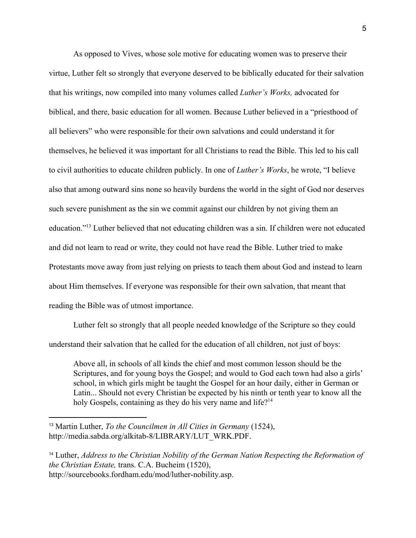As opposed to Vives, whose sole motive for educating women was to preserve their virtue, Luther felt so strongly that everyone deserved to be biblically educated for their salvation that his writings, now compiled into many volumes called *Luther's Works,* advocated for biblical, and there, basic education for all women. Because Luther believed in a "priesthood of all believers" who were responsible for their own salvations and could understand it for themselves, he believed it was important for all Christians to read the Bible. This led to his call to civil authorities to educate children publicly. In one of *Luther's Works*, he wrote, "I believe also that among outward sins none so heavily burdens the world in the sight of God nor deserves such severe punishment as the sin we commit against our children by not giving them an education."<sup>13</sup> Luther believed that not educating children was a sin. If children were not educated and did not learn to read or write, they could not have read the Bible. Luther tried to make Protestants move away from just relying on priests to teach them about God and instead to learn about Him themselves. If everyone was responsible for their own salvation, that meant that reading the Bible was of utmost importance.

Luther felt so strongly that all people needed knowledge of the Scripture so they could understand their salvation that he called for the education of all children, not just of boys:

Above all, in schools of all kinds the chief and most common lesson should be the Scriptures, and for young boys the Gospel; and would to God each town had also a girls' school, in which girls might be taught the Gospel for an hour daily, either in German or Latin... Should not every Christian be expected by his ninth or tenth year to know all the holy Gospels, containing as they do his very name and life?<sup>14</sup>

<sup>13</sup> Martin Luther, *To the Councilmen in All Cities in Germany* (1524), http://media.sabda.org/alkitab-8/LIBRARY/LUT\_WRK.PDF.

<sup>14</sup> Luther, *Address to the Christian Nobility of the German Nation Respecting the Reformation of the Christian Estate,* trans. C.A. Bucheim (1520), http://sourcebooks.fordham.edu/mod/luther-nobility.asp.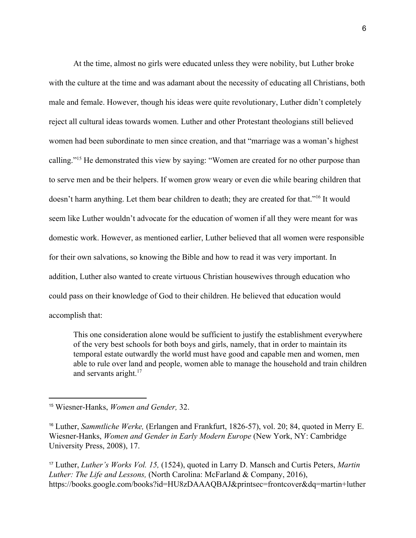At the time, almost no girls were educated unless they were nobility, but Luther broke with the culture at the time and was adamant about the necessity of educating all Christians, both male and female. However, though his ideas were quite revolutionary, Luther didn't completely reject all cultural ideas towards women. Luther and other Protestant theologians still believed women had been subordinate to men since creation, and that "marriage was a woman's highest calling."<sup>15</sup> He demonstrated this view by saying: "Women are created for no other purpose than to serve men and be their helpers. If women grow weary or even die while bearing children that doesn't harm anything. Let them bear children to death; they are created for that."<sup>16</sup> It would seem like Luther wouldn't advocate for the education of women if all they were meant for was domestic work. However, as mentioned earlier, Luther believed that all women were responsible for their own salvations, so knowing the Bible and how to read it was very important. In addition, Luther also wanted to create virtuous Christian housewives through education who could pass on their knowledge of God to their children. He believed that education would accomplish that:

This one consideration alone would be sufficient to justify the establishment everywhere of the very best schools for both boys and girls, namely, that in order to maintain its temporal estate outwardly the world must have good and capable men and women, men able to rule over land and people, women able to manage the household and train children and servants aright.<sup>17</sup>

<sup>17</sup> Luther, *Luther's Works Vol. 15,* (1524), quoted in Larry D. Mansch and Curtis Peters, *Martin Luther: The Life and Lessons,* (North Carolina: McFarland & Company, 2016), https://books.google.com/books?id=HU8zDAAAQBAJ&printsec=frontcover&dq=martin+luther

<sup>15</sup> Wiesner-Hanks, *Women and Gender,* 32.

<sup>16</sup> Luther, *Sammtliche Werke,* (Erlangen and Frankfurt, 1826-57), vol. 20; 84, quoted in Merry E. Wiesner-Hanks, *Women and Gender in Early Modern Europe* (New York, NY: Cambridge University Press, 2008), 17.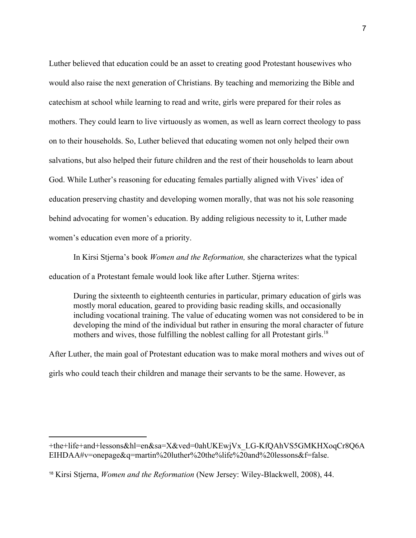Luther believed that education could be an asset to creating good Protestant housewives who would also raise the next generation of Christians. By teaching and memorizing the Bible and catechism at school while learning to read and write, girls were prepared for their roles as mothers. They could learn to live virtuously as women, as well as learn correct theology to pass on to their households. So, Luther believed that educating women not only helped their own salvations, but also helped their future children and the rest of their households to learn about God. While Luther's reasoning for educating females partially aligned with Vives' idea of education preserving chastity and developing women morally, that was not his sole reasoning behind advocating for women's education. By adding religious necessity to it, Luther made women's education even more of a priority.

In Kirsi Stjerna's book *Women and the Reformation,* she characterizes what the typical education of a Protestant female would look like after Luther. Stjerna writes:

During the sixteenth to eighteenth centuries in particular, primary education of girls was mostly moral education, geared to providing basic reading skills, and occasionally including vocational training. The value of educating women was not considered to be in developing the mind of the individual but rather in ensuring the moral character of future mothers and wives, those fulfilling the noblest calling for all Protestant girls.<sup>18</sup>

After Luther, the main goal of Protestant education was to make moral mothers and wives out of girls who could teach their children and manage their servants to be the same. However, as

<sup>+</sup>the+life+and+lessons&hl=en&sa=X&ved=0ahUKEwjVx\_LG-KfQAhVS5GMKHXoqCr8Q6A EIHDAA#v=onepage&q=martin%20luther%20the%life%20and%20lessons&f=false.

<sup>18</sup> Kirsi Stjerna, *Women and the Reformation* (New Jersey: Wiley-Blackwell, 2008), 44.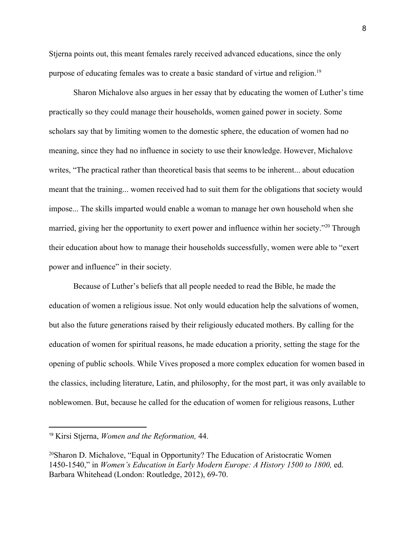Stjerna points out, this meant females rarely received advanced educations, since the only purpose of educating females was to create a basic standard of virtue and religion.<sup>19</sup>

Sharon Michalove also argues in her essay that by educating the women of Luther's time practically so they could manage their households, women gained power in society. Some scholars say that by limiting women to the domestic sphere, the education of women had no meaning, since they had no influence in society to use their knowledge. However, Michalove writes, "The practical rather than theoretical basis that seems to be inherent... about education meant that the training... women received had to suit them for the obligations that society would impose... The skills imparted would enable a woman to manage her own household when she married, giving her the opportunity to exert power and influence within her society."<sup>20</sup> Through their education about how to manage their households successfully, women were able to "exert power and influence" in their society.

Because of Luther's beliefs that all people needed to read the Bible, he made the education of women a religious issue. Not only would education help the salvations of women, but also the future generations raised by their religiously educated mothers. By calling for the education of women for spiritual reasons, he made education a priority, setting the stage for the opening of public schools. While Vives proposed a more complex education for women based in the classics, including literature, Latin, and philosophy, for the most part, it was only available to noblewomen. But, because he called for the education of women for religious reasons, Luther

<sup>19</sup> Kirsi Stjerna, *Women and the Reformation,* 44.

<sup>20</sup>Sharon D. Michalove, "Equal in Opportunity? The Education of Aristocratic Women 1450-1540," in *Women's Education in Early Modern Europe: A History 1500 to 1800,* ed. Barbara Whitehead (London: Routledge, 2012), 69-70.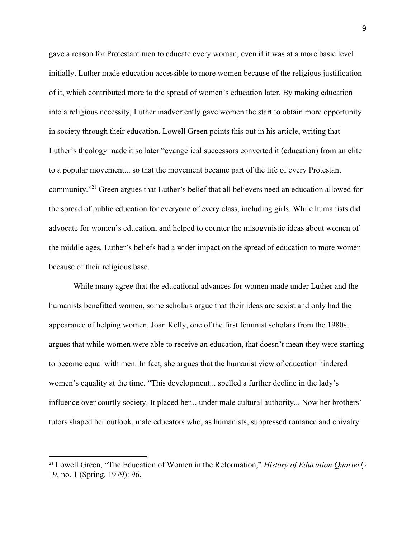gave a reason for Protestant men to educate every woman, even if it was at a more basic level initially. Luther made education accessible to more women because of the religious justification of it, which contributed more to the spread of women's education later. By making education into a religious necessity, Luther inadvertently gave women the start to obtain more opportunity in society through their education. Lowell Green points this out in his article, writing that Luther's theology made it so later "evangelical successors converted it (education) from an elite to a popular movement... so that the movement became part of the life of every Protestant community."<sup>21</sup> Green argues that Luther's belief that all believers need an education allowed for the spread of public education for everyone of every class, including girls. While humanists did advocate for women's education, and helped to counter the misogynistic ideas about women of the middle ages, Luther's beliefs had a wider impact on the spread of education to more women because of their religious base.

While many agree that the educational advances for women made under Luther and the humanists benefitted women, some scholars argue that their ideas are sexist and only had the appearance of helping women. Joan Kelly, one of the first feminist scholars from the 1980s, argues that while women were able to receive an education, that doesn't mean they were starting to become equal with men. In fact, she argues that the humanist view of education hindered women's equality at the time. "This development... spelled a further decline in the lady's influence over courtly society. It placed her... under male cultural authority... Now her brothers' tutors shaped her outlook, male educators who, as humanists, suppressed romance and chivalry

<sup>21</sup> Lowell Green, "The Education of Women in the Reformation," *History of Education Quarterly* 19, no. 1 (Spring, 1979): 96.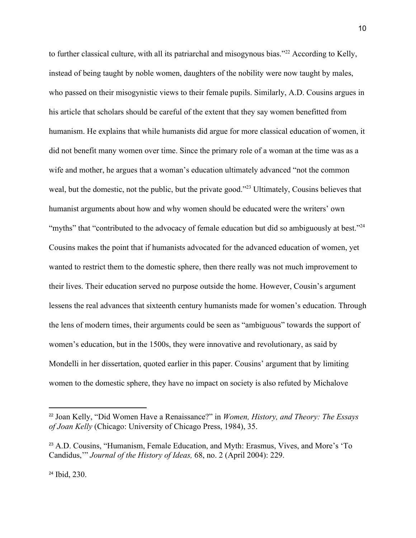to further classical culture, with all its patriarchal and misogynous bias." $22$  According to Kelly, instead of being taught by noble women, daughters of the nobility were now taught by males, who passed on their misogynistic views to their female pupils. Similarly, A.D. Cousins argues in his article that scholars should be careful of the extent that they say women benefitted from humanism. He explains that while humanists did argue for more classical education of women, it did not benefit many women over time. Since the primary role of a woman at the time was as a wife and mother, he argues that a woman's education ultimately advanced "not the common weal, but the domestic, not the public, but the private good."<sup>23</sup> Ultimately, Cousins believes that humanist arguments about how and why women should be educated were the writers' own "myths" that "contributed to the advocacy of female education but did so ambiguously at best."<sup>24</sup> Cousins makes the point that if humanists advocated for the advanced education of women, yet wanted to restrict them to the domestic sphere, then there really was not much improvement to their lives. Their education served no purpose outside the home. However, Cousin's argument lessens the real advances that sixteenth century humanists made for women's education. Through the lens of modern times, their arguments could be seen as "ambiguous" towards the support of women's education, but in the 1500s, they were innovative and revolutionary, as said by Mondelli in her dissertation, quoted earlier in this paper. Cousins' argument that by limiting women to the domestic sphere, they have no impact on society is also refuted by Michalove

<sup>24</sup> Ibid, 230.

<sup>22</sup> Joan Kelly, "Did Women Have a Renaissance?" in *Women, History, and Theory: The Essays of Joan Kelly* (Chicago: University of Chicago Press, 1984), 35.

<sup>23</sup> A.D. Cousins, "Humanism, Female Education, and Myth: Erasmus, Vives, and More's 'To Candidus,'" *Journal of the History of Ideas,* 68, no. 2 (April 2004): 229.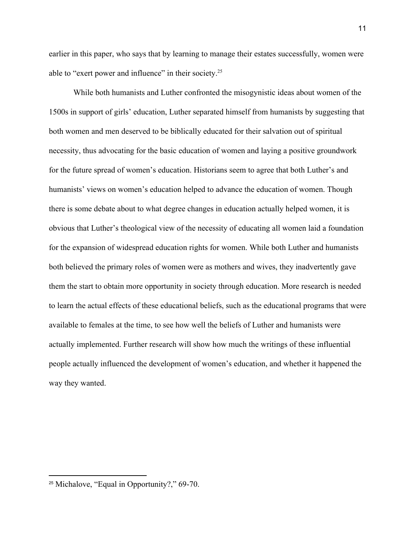earlier in this paper, who says that by learning to manage their estates successfully, women were able to "exert power and influence" in their society.<sup>25</sup>

While both humanists and Luther confronted the misogynistic ideas about women of the 1500s in support of girls' education, Luther separated himself from humanists by suggesting that both women and men deserved to be biblically educated for their salvation out of spiritual necessity, thus advocating for the basic education of women and laying a positive groundwork for the future spread of women's education. Historians seem to agree that both Luther's and humanists' views on women's education helped to advance the education of women. Though there is some debate about to what degree changes in education actually helped women, it is obvious that Luther's theological view of the necessity of educating all women laid a foundation for the expansion of widespread education rights for women. While both Luther and humanists both believed the primary roles of women were as mothers and wives, they inadvertently gave them the start to obtain more opportunity in society through education. More research is needed to learn the actual effects of these educational beliefs, such as the educational programs that were available to females at the time, to see how well the beliefs of Luther and humanists were actually implemented. Further research will show how much the writings of these influential people actually influenced the development of women's education, and whether it happened the way they wanted.

<sup>25</sup> Michalove, "Equal in Opportunity?," 69-70.